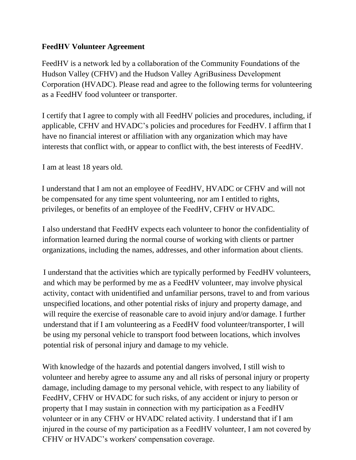## **FeedHV Volunteer Agreement**

FeedHV is a network led by a collaboration of the Community Foundations of the Hudson Valley (CFHV) and the Hudson Valley AgriBusiness Development Corporation (HVADC). Please read and agree to the following terms for volunteering as a FeedHV food volunteer or transporter.

I certify that I agree to comply with all FeedHV policies and procedures, including, if applicable, CFHV and HVADC's policies and procedures for FeedHV. I affirm that I have no financial interest or affiliation with any organization which may have interests that conflict with, or appear to conflict with, the best interests of FeedHV.

I am at least 18 years old.

I understand that I am not an employee of FeedHV, HVADC or CFHV and will not be compensated for any time spent volunteering, nor am I entitled to rights, privileges, or benefits of an employee of the FeedHV, CFHV or HVADC.

I also understand that FeedHV expects each volunteer to honor the confidentiality of information learned during the normal course of working with clients or partner organizations, including the names, addresses, and other information about clients.

I understand that the activities which are typically performed by FeedHV volunteers, and which may be performed by me as a FeedHV volunteer, may involve physical activity, contact with unidentified and unfamiliar persons, travel to and from various unspecified locations, and other potential risks of injury and property damage, and will require the exercise of reasonable care to avoid injury and/or damage. I further understand that if I am volunteering as a FeedHV food volunteer/transporter, I will be using my personal vehicle to transport food between locations, which involves potential risk of personal injury and damage to my vehicle.

With knowledge of the hazards and potential dangers involved, I still wish to volunteer and hereby agree to assume any and all risks of personal injury or property damage, including damage to my personal vehicle, with respect to any liability of FeedHV, CFHV or HVADC for such risks, of any accident or injury to person or property that I may sustain in connection with my participation as a FeedHV volunteer or in any CFHV or HVADC related activity. I understand that if I am injured in the course of my participation as a FeedHV volunteer, I am not covered by CFHV or HVADC's workers' compensation coverage.